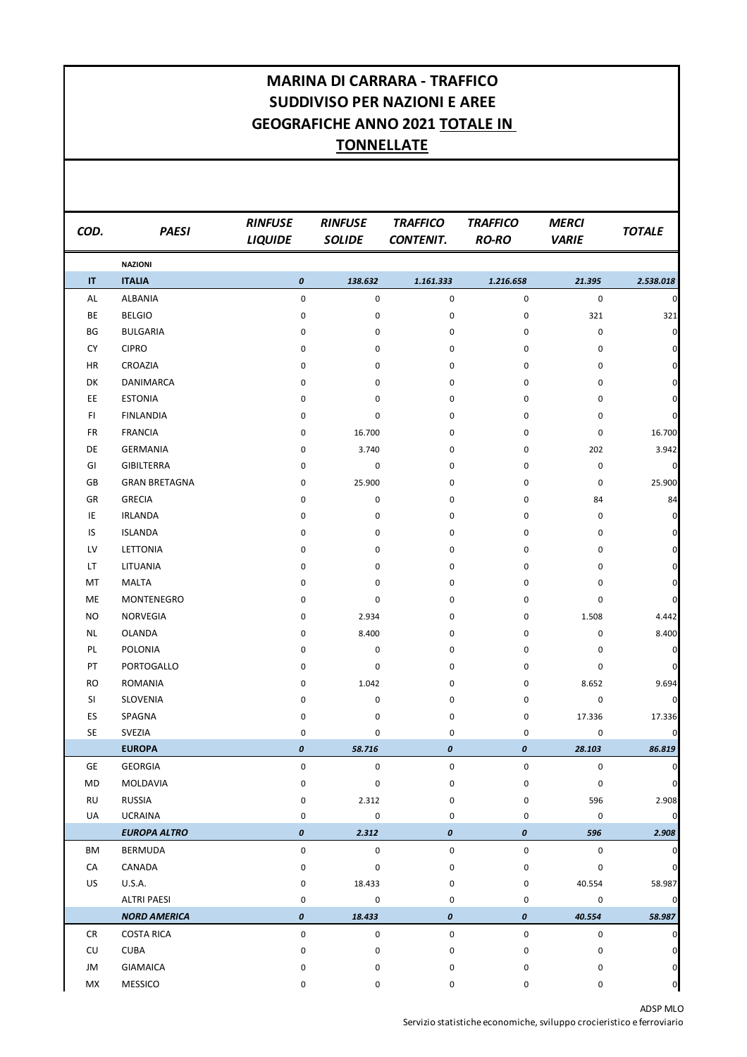## **MARINA DI CARRARA - TRAFFICO SUDDIVISO PER NAZIONI E AREE GEOGRAFICHE ANNO 2021 TOTALE IN TONNELLATE**

| COD.      | <b>PAESI</b>         | <b>RINFUSE</b><br><b>LIQUIDE</b> | <b>RINFUSE</b><br><b>SOLIDE</b> | <b>TRAFFICO</b><br><b>CONTENIT.</b> | <b>TRAFFICO</b><br><b>RO-RO</b> | <b>MERCI</b><br><b>VARIE</b> | <b>TOTALE</b>       |
|-----------|----------------------|----------------------------------|---------------------------------|-------------------------------------|---------------------------------|------------------------------|---------------------|
|           | <b>NAZIONI</b>       |                                  |                                 |                                     |                                 |                              |                     |
| IT        | <b>ITALIA</b>        | $\pmb{o}$                        | 138.632                         | 1.161.333                           | 1.216.658                       | 21.395                       | 2.538.018           |
| AL        | <b>ALBANIA</b>       | 0                                | 0                               | 0                                   | 0                               | 0                            | $\pmb{0}$           |
| BE        | <b>BELGIO</b>        | 0                                | 0                               | 0                                   | 0                               | 321                          | 321                 |
| BG        | <b>BULGARIA</b>      | 0                                | 0                               | 0                                   | 0                               | 0                            | $\pmb{0}$           |
| <b>CY</b> | <b>CIPRO</b>         | 0                                | 0                               | 0                                   | 0                               | 0                            | $\pmb{0}$           |
| <b>HR</b> | CROAZIA              | 0                                | 0                               | 0                                   | 0                               | 0                            | $\mathbf 0$         |
| DK        | DANIMARCA            | 0                                | 0                               | 0                                   | 0                               | 0                            | $\mathbf 0$         |
| EE        | <b>ESTONIA</b>       | 0                                | 0                               | 0                                   | 0                               | 0                            | $\pmb{0}$           |
| FI.       | <b>FINLANDIA</b>     | 0                                | 0                               | 0                                   | 0                               | 0                            | $\pmb{0}$           |
| FR        | <b>FRANCIA</b>       | 0                                | 16.700                          | 0                                   | 0                               | 0                            | 16.700              |
| DE        | GERMANIA             | 0                                | 3.740                           | 0                                   | 0                               | 202                          | 3.942               |
| GI        | <b>GIBILTERRA</b>    | 0                                | 0                               | 0                                   | 0                               | 0                            | $\pmb{0}$           |
| GB        | <b>GRAN BRETAGNA</b> | 0                                | 25.900                          | 0                                   | 0                               | 0                            | 25.900              |
| GR        | <b>GRECIA</b>        | 0                                | 0                               | 0                                   | 0                               | 84                           | 84                  |
| ΙE        | <b>IRLANDA</b>       | 0                                | 0                               | 0                                   | 0                               | 0                            | $\mathbf 0$         |
| IS        | <b>ISLANDA</b>       | 0                                | 0                               | 0                                   | 0                               | 0                            | $\mathbf 0$         |
| LV        | <b>LETTONIA</b>      | 0                                | 0                               | 0                                   | 0                               | 0                            | $\overline{0}$      |
| LT        | LITUANIA             | 0                                | 0                               | 0                                   | 0                               | 0                            | $\mathbf 0$         |
| МT        | <b>MALTA</b>         | 0                                | 0                               | 0                                   | 0                               | 0                            | $\mathbf 0$         |
| ME        | MONTENEGRO           | 0                                | 0                               | 0                                   | 0                               | 0                            | $\pmb{0}$           |
| NO        | NORVEGIA             | 0                                | 2.934                           | 0                                   | 0                               | 1.508                        | 4.442               |
| NL        | <b>OLANDA</b>        | 0                                | 8.400                           | 0                                   | 0                               | 0                            | 8.400               |
| PL        | POLONIA              | 0                                | 0                               | 0                                   | 0                               | 0                            | $\pmb{0}$           |
| PT        | PORTOGALLO           | 0                                | 0                               | 0                                   | 0                               | 0                            | $\pmb{0}$           |
| <b>RO</b> | ROMANIA              | 0                                | 1.042                           | 0                                   | 0                               | 8.652                        | 9.694               |
| SI        | SLOVENIA             | 0                                | 0                               | 0                                   | 0                               | 0                            | $\overline{0}$      |
| ES        | SPAGNA               | 0                                | 0                               | 0                                   | 0                               | 17.336                       | 17.336              |
| <b>SE</b> | SVEZIA               | 0                                | 0                               | $\mathbf 0$                         | 0                               | 0                            | $\pmb{0}$           |
|           | <b>EUROPA</b>        | $\boldsymbol{o}$                 | 58.716                          | 0                                   | 0                               | 28.103                       | 86.819              |
| GE        | <b>GEORGIA</b>       | 0                                | 0                               | 0                                   | 0                               | 0                            | $\mathbf 0$         |
| MD        | MOLDAVIA             | 0                                | $\mathsf{O}\xspace$             | 0                                   | 0                               | 0                            | $\mathsf{O}\xspace$ |
| <b>RU</b> | <b>RUSSIA</b>        | 0                                | 2.312                           | 0                                   | 0                               | 596                          | 2.908               |
| UA        | <b>UCRAINA</b>       | 0                                | $\mathsf 0$                     | 0                                   | 0                               | 0                            | $\circ$             |
|           | <b>EUROPA ALTRO</b>  | $\pmb{o}$                        | 2.312                           | 0                                   | 0                               | 596                          | 2.908               |
| ΒM        | BERMUDA              | 0                                | $\mathsf{O}\xspace$             | 0                                   | $\mathsf 0$                     | $\mathsf{O}\xspace$          | $\overline{0}$      |
| CA        | CANADA               | 0                                | 0                               | 0                                   | 0                               | 0                            | $\overline{0}$      |
| US        | <b>U.S.A.</b>        | 0                                | 18.433                          | 0                                   | 0                               | 40.554                       | 58.987              |
|           | <b>ALTRI PAESI</b>   | 0                                | 0                               | 0                                   | 0                               | 0                            | $\circ$             |
|           | <b>NORD AMERICA</b>  | $\pmb{o}$                        | 18.433                          | 0                                   | 0                               | 40.554                       | 58.987              |
| CR        | <b>COSTA RICA</b>    | 0                                | 0                               | 0                                   | 0                               | $\mathsf{O}\xspace$          | $\overline{0}$      |
| CU        | <b>CUBA</b>          | 0                                | 0                               | 0                                   | 0                               | 0                            | $\pmb{0}$           |
| JM        | <b>GIAMAICA</b>      | 0                                | 0                               | 0                                   | 0                               | 0                            | $\circ$             |
| МX        | MESSICO              | 0                                | $\mathsf{O}\xspace$             | 0                                   | 0                               | 0                            | $\circ$             |

ADSP MLO Servizio statistiche economiche, sviluppo crocieristico e ferroviario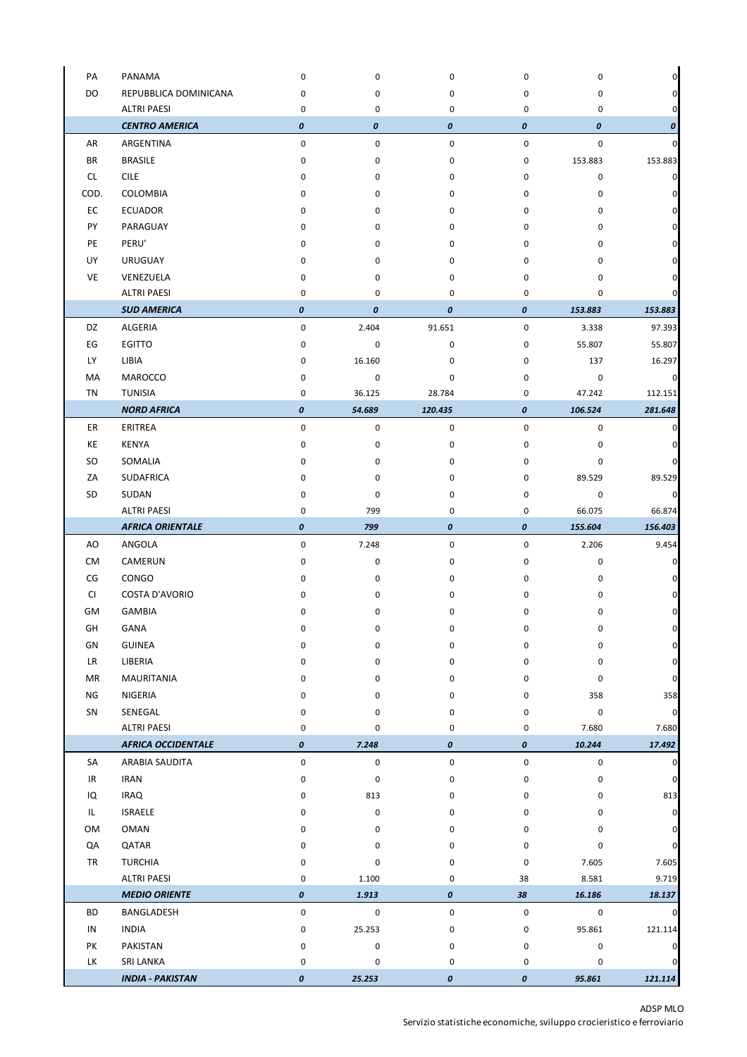| PA        | PANAMA                    | 0                | $\pmb{0}$   | 0         | $\mathbf 0$ | 0         | 0              |
|-----------|---------------------------|------------------|-------------|-----------|-------------|-----------|----------------|
| DO        | REPUBBLICA DOMINICANA     | 0                | 0           | 0         | 0           | 0         | 0              |
|           | <b>ALTRI PAESI</b>        | $\pmb{0}$        | $\pmb{0}$   | $\pmb{0}$ | 0           | 0         | 0              |
|           | <b>CENTRO AMERICA</b>     | $\boldsymbol{o}$ | 0           | 0         | 0           | 0         | 0              |
| AR        | ARGENTINA                 | $\pmb{0}$        | 0           | $\pmb{0}$ | $\pmb{0}$   | $\pmb{0}$ | 0              |
| <b>BR</b> | <b>BRASILE</b>            | $\pmb{0}$        | 0           | $\pmb{0}$ | 0           | 153.883   | 153.883        |
| CL.       | <b>CILE</b>               | $\pmb{0}$        | $\pmb{0}$   | $\pmb{0}$ | $\pmb{0}$   | 0         | $\pmb{0}$      |
| COD.      | COLOMBIA                  | 0                | 0           | 0         | 0           | 0         | 0              |
| EC        | <b>ECUADOR</b>            | 0                | 0           | 0         | 0           | 0         | 0              |
| PY        | PARAGUAY                  | 0                | 0           | 0         | 0           | 0         | 0              |
| PE        | PERU'                     | 0                | 0           | 0         | 0           | 0         |                |
| UY        | URUGUAY                   | 0                | 0           | 0         | 0           | 0         | 0              |
| VE        | VENEZUELA                 | 0                | 0           | 0         | 0           | 0         | 0              |
|           | <b>ALTRI PAESI</b>        | $\pmb{0}$        | 0           | 0         | 0           | 0         | 0              |
|           | <b>SUD AMERICA</b>        | 0                | 0           | 0         | 0           | 153.883   | 153.883        |
|           |                           |                  |             |           |             |           |                |
| DZ        | <b>ALGERIA</b>            | $\pmb{0}$        | 2.404       | 91.651    | $\pmb{0}$   | 3.338     | 97.393         |
| EG        | <b>EGITTO</b>             | $\pmb{0}$        | $\pmb{0}$   | $\pmb{0}$ | $\pmb{0}$   | 55.807    | 55.807         |
| LY        | LIBIA                     | 0                | 16.160      | 0         | 0           | 137       | 16.297         |
| MA        | MAROCCO                   | 0                | $\pmb{0}$   | 0         | 0           | 0         | 0              |
| TN        | <b>TUNISIA</b>            | $\pmb{0}$        | 36.125      | 28.784    | 0           | 47.242    | 112.151        |
|           | <b>NORD AFRICA</b>        | $\boldsymbol{o}$ | 54.689      | 120.435   | 0           | 106.524   | 281.648        |
| ER        | ERITREA                   | $\pmb{0}$        | $\mathsf 0$ | 0         | $\pmb{0}$   | 0         | 0              |
| KE        | <b>KENYA</b>              | $\pmb{0}$        | $\pmb{0}$   | 0         | $\mathbf 0$ | 0         | 0              |
| SO        | SOMALIA                   | 0                | 0           | 0         | 0           | 0         | 0              |
| ZA        | SUDAFRICA                 | 0                | 0           | 0         | 0           | 89.529    | 89.529         |
| SD        | SUDAN                     | 0                | 0           | 0         | 0           | 0         | 0              |
|           | <b>ALTRI PAESI</b>        | $\pmb{0}$        | 799         | 0         | 0           | 66.075    | 66.874         |
|           | <b>AFRICA ORIENTALE</b>   | $\boldsymbol{o}$ | 799         | 0         | 0           | 155.604   | 156.403        |
| AO        | ANGOLA                    | $\mathsf 0$      | 7.248       | 0         | $\mathbf 0$ | 2.206     | 9.454          |
| CM        | CAMERUN                   | 0                | $\pmb{0}$   | 0         | 0           | 0         | 0              |
| CG        | CONGO                     | 0                | 0           | 0         | 0           | 0         | 0              |
| <b>CI</b> | <b>COSTA D'AVORIO</b>     | 0                | 0           | 0         | 0           | 0         | 0              |
| GM        | <b>GAMBIA</b>             | 0                | 0           | 0         | 0           | 0         | 0              |
| GH        | GANA                      | 0                | 0           | 0         | 0           | 0         | $\overline{0}$ |
| GN        | <b>GUINEA</b>             | 0                | 0           | 0         | 0           | 0         | 0              |
| LR        | LIBERIA                   | 0                | 0           | 0         | 0           | 0         | 0              |
| MR        | MAURITANIA                | 0                | 0           | 0         | 0           | 0         | 0              |
| NG        | NIGERIA                   | 0                | 0           | 0         | 0           | 358       | 358            |
| SN        | SENEGAL                   | 0                | 0           | 0         | $\pmb{0}$   | $\pmb{0}$ | $\mathbf 0$    |
|           | <b>ALTRI PAESI</b>        | 0                | 0           | 0         | 0           | 7.680     | 7.680          |
|           | <b>AFRICA OCCIDENTALE</b> | $\pmb{o}$        | 7.248       | 0         | 0           | 10.244    | 17.492         |
| SA        | ARABIA SAUDITA            | 0                | 0           | 0         | 0           | 0         | 0              |
| IR        | <b>IRAN</b>               | 0                | 0           | 0         | 0           | 0         | 0              |
| IQ        | <b>IRAQ</b>               | 0                | 813         | 0         | 0           | 0         | 813            |
| IL.       | <b>ISRAELE</b>            | 0                | 0           | 0         | 0           | 0         | 0              |
| OM        | OMAN                      | 0                | 0           | 0         | 0           | 0         | 0              |
| QA        | QATAR                     | 0                | 0           | 0         | 0           | 0         | $\pmb{0}$      |
| TR        | <b>TURCHIA</b>            | 0                | 0           | 0         | $\pmb{0}$   | 7.605     | 7.605          |
|           | <b>ALTRI PAESI</b>        | 0                | 1.100       | 0         | 38          | 8.581     | 9.719          |
|           | <b>MEDIO ORIENTE</b>      | $\pmb{o}$        | 1.913       | 0         | 38          |           |                |
|           |                           |                  |             |           |             | 16.186    | 18.137         |
| BD        | BANGLADESH                | 0                | 0           | 0         | 0           | 0         |                |
| IN        | <b>INDIA</b>              | 0                | 25.253      | 0         | 0           | 95.861    | 121.114        |
| PK        | PAKISTAN                  | 0                | 0           | 0         | 0           | 0         | 0              |
| LK        | SRI LANKA                 | 0                | 0           | 0         | 0           | 0         | 0              |
|           | <b>INDIA - PAKISTAN</b>   | $\pmb{o}$        | 25.253      | 0         | 0           | 95.861    | 121.114        |